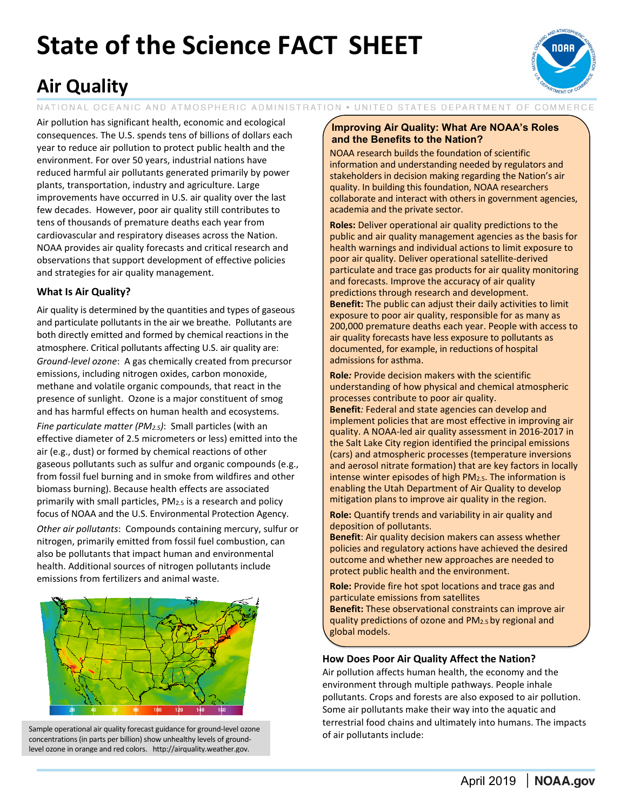# **State of the Science FACT SHEET**



# **Air Quality**

NATIONAL OCEANIC AND ATMOSPHERIC ADMINISTRATION . UNITED STATES DEPARTMENT OF COMMERCE

Air pollution has significant health, economic and ecological consequences. The U.S. spends tens of billions of dollars each year to reduce air pollution to protect public health and the environment. For over 50 years, industrial nations have reduced harmful air pollutants generated primarily by power plants, transportation, industry and agriculture. Large improvements have occurred in U.S. air quality over the last few decades. However, poor air quality still contributes to tens of thousands of premature deaths each year from cardiovascular and respiratory diseases across the Nation. NOAA provides air quality forecasts and critical research and observations that support development of effective policies and strategies for air quality management.

## **What Is Air Quality?**

Air quality is determined by the quantities and types of gaseous and particulate pollutants in the air we breathe. Pollutants are both directly emitted and formed by chemical reactions in the atmosphere. Critical pollutants affecting U.S. air quality are: *Ground-level ozone*: A gas chemically created from precursor emissions, including nitrogen oxides, carbon monoxide, methane and volatile organic compounds, that react in the presence of sunlight. Ozone is a major constituent of smog and has harmful effects on human health and ecosystems.

*Fine particulate matter (PM2.5)*: Small particles (with an effective diameter of 2.5 micrometers or less) emitted into the air (e.g., dust) or formed by chemical reactions of other gaseous pollutants such as sulfur and organic compounds (e.g., from fossil fuel burning and in smoke from wildfires and other biomass burning). Because health effects are associated primarily with small particles, PM<sub>2.5</sub> is a research and policy focus of NOAA and the U.S. Environmental Protection Agency.

*Other air pollutants*: Compounds containing mercury, sulfur or nitrogen, primarily emitted from fossil fuel combustion, can also be pollutants that impact human and environmental health. Additional sources of nitrogen pollutants include emissions from fertilizers and animal waste.



Sample operational air quality forecast guidance for ground-level ozone<br>
Sapportrational include:<br>
Sapportrational include: concentrations (in parts per billion) show unhealthy levels of groundlevel ozone in orange and red colors. http://airquality.weather.gov.

#### **Improving Air Quality: What Are NOAA's Roles and the Benefits to the Nation?**

NOAA research builds the foundation of scientific information and understanding needed by regulators and stakeholders in decision making regarding the Nation's air quality. In building this foundation, NOAA researchers collaborate and interact with others in government agencies, academia and the private sector.

**Roles:** Deliver operational air quality predictions to the public and air quality management agencies as the basis for health warnings and individual actions to limit exposure to poor air quality. Deliver operational satellite-derived particulate and trace gas products for air quality monitoring and forecasts. Improve the accuracy of air quality predictions through research and development. **Benefit:** The public can adjust their daily activities to limit exposure to poor air quality, responsible for as many as 200,000 premature deaths each year. People with access to air quality forecasts have less exposure to pollutants as documented, for example, in reductions of hospital admissions for asthma.

**Role***:* Provide decision makers with the scientific understanding of how physical and chemical atmospheric processes contribute to poor air quality. **Benefit***:* Federal and state agencies can develop and implement policies that are most effective in improving air quality. A NOAA-led air quality assessment in 2016-2017 in the Salt Lake City region identified the principal emissions (cars) and atmospheric processes (temperature inversions and aerosol nitrate formation) that are key factors in locally intense winter episodes of high PM<sub>2.5</sub>. The information is enabling the Utah Department of Air Quality to develop mitigation plans to improve air quality in the region.

**Role:** Quantify trends and variability in air quality and deposition of pollutants.

**Benefit**: Air quality decision makers can assess whether policies and regulatory actions have achieved the desired outcome and whether new approaches are needed to protect public health and the environment.

**Role:** Provide fire hot spot locations and trace gas and particulate emissions from satellites **Benefit:** These observational constraints can improve air quality predictions of ozone and PM2.5 by regional and global models.

### **How Does Poor Air Quality Affect the Nation?**

Air pollution affects human health, the economy and the environment through multiple pathways. People inhale pollutants. Crops and forests are also exposed to air pollution. Some air pollutants make their way into the aquatic and terrestrial food chains and ultimately into humans. The impacts